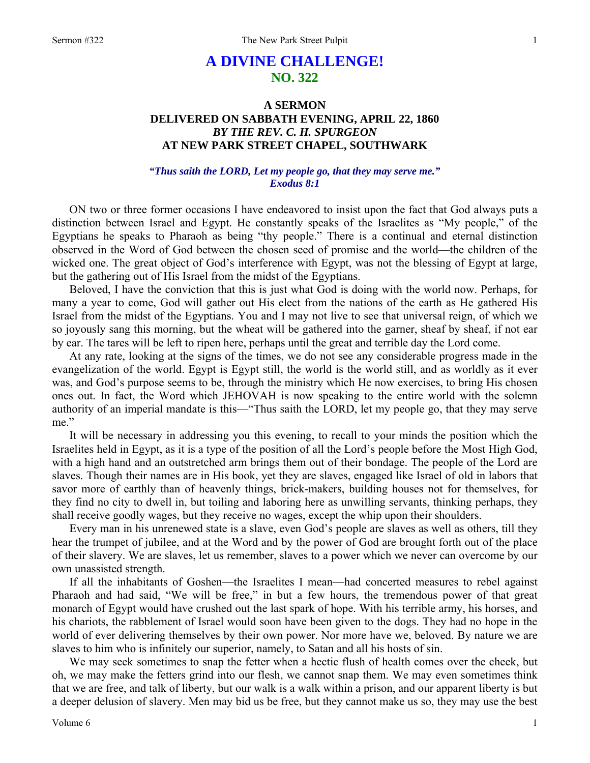## **A DIVINE CHALLENGE! NO. 322**

## **A SERMON DELIVERED ON SABBATH EVENING, APRIL 22, 1860**  *BY THE REV. C. H. SPURGEON*  **AT NEW PARK STREET CHAPEL, SOUTHWARK**

## *"Thus saith the LORD, Let my people go, that they may serve me." Exodus 8:1*

ON two or three former occasions I have endeavored to insist upon the fact that God always puts a distinction between Israel and Egypt. He constantly speaks of the Israelites as "My people," of the Egyptians he speaks to Pharaoh as being "thy people." There is a continual and eternal distinction observed in the Word of God between the chosen seed of promise and the world—the children of the wicked one. The great object of God's interference with Egypt, was not the blessing of Egypt at large, but the gathering out of His Israel from the midst of the Egyptians.

Beloved, I have the conviction that this is just what God is doing with the world now. Perhaps, for many a year to come, God will gather out His elect from the nations of the earth as He gathered His Israel from the midst of the Egyptians. You and I may not live to see that universal reign, of which we so joyously sang this morning, but the wheat will be gathered into the garner, sheaf by sheaf, if not ear by ear. The tares will be left to ripen here, perhaps until the great and terrible day the Lord come.

At any rate, looking at the signs of the times, we do not see any considerable progress made in the evangelization of the world. Egypt is Egypt still, the world is the world still, and as worldly as it ever was, and God's purpose seems to be, through the ministry which He now exercises, to bring His chosen ones out. In fact, the Word which JEHOVAH is now speaking to the entire world with the solemn authority of an imperial mandate is this—"Thus saith the LORD, let my people go, that they may serve me."

It will be necessary in addressing you this evening, to recall to your minds the position which the Israelites held in Egypt, as it is a type of the position of all the Lord's people before the Most High God, with a high hand and an outstretched arm brings them out of their bondage. The people of the Lord are slaves. Though their names are in His book, yet they are slaves, engaged like Israel of old in labors that savor more of earthly than of heavenly things, brick-makers, building houses not for themselves, for they find no city to dwell in, but toiling and laboring here as unwilling servants, thinking perhaps, they shall receive goodly wages, but they receive no wages, except the whip upon their shoulders.

Every man in his unrenewed state is a slave, even God's people are slaves as well as others, till they hear the trumpet of jubilee, and at the Word and by the power of God are brought forth out of the place of their slavery. We are slaves, let us remember, slaves to a power which we never can overcome by our own unassisted strength.

If all the inhabitants of Goshen—the Israelites I mean—had concerted measures to rebel against Pharaoh and had said, "We will be free," in but a few hours, the tremendous power of that great monarch of Egypt would have crushed out the last spark of hope. With his terrible army, his horses, and his chariots, the rabblement of Israel would soon have been given to the dogs. They had no hope in the world of ever delivering themselves by their own power. Nor more have we, beloved. By nature we are slaves to him who is infinitely our superior, namely, to Satan and all his hosts of sin.

We may seek sometimes to snap the fetter when a hectic flush of health comes over the cheek, but oh, we may make the fetters grind into our flesh, we cannot snap them. We may even sometimes think that we are free, and talk of liberty, but our walk is a walk within a prison, and our apparent liberty is but a deeper delusion of slavery. Men may bid us be free, but they cannot make us so, they may use the best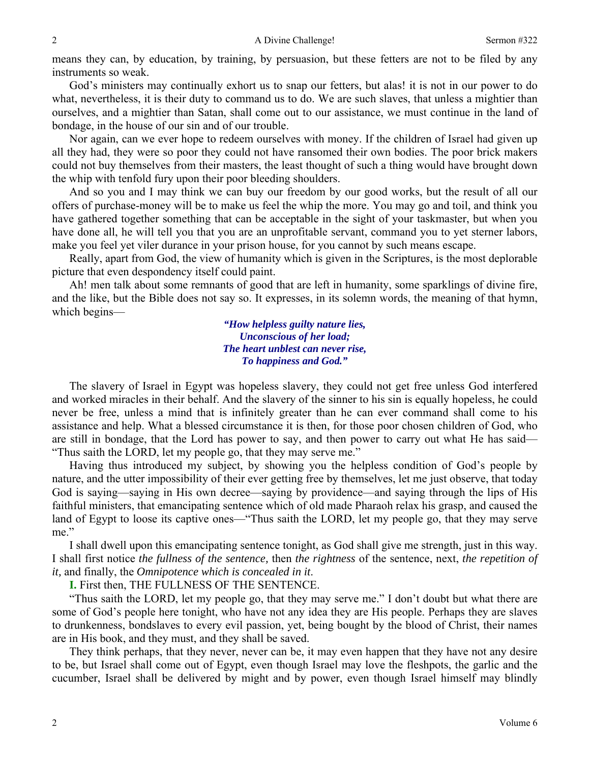means they can, by education, by training, by persuasion, but these fetters are not to be filed by any instruments so weak.

God's ministers may continually exhort us to snap our fetters, but alas! it is not in our power to do what, nevertheless, it is their duty to command us to do. We are such slaves, that unless a mightier than ourselves, and a mightier than Satan, shall come out to our assistance, we must continue in the land of bondage, in the house of our sin and of our trouble.

Nor again, can we ever hope to redeem ourselves with money. If the children of Israel had given up all they had, they were so poor they could not have ransomed their own bodies. The poor brick makers could not buy themselves from their masters, the least thought of such a thing would have brought down the whip with tenfold fury upon their poor bleeding shoulders.

And so you and I may think we can buy our freedom by our good works, but the result of all our offers of purchase-money will be to make us feel the whip the more. You may go and toil, and think you have gathered together something that can be acceptable in the sight of your taskmaster, but when you have done all, he will tell you that you are an unprofitable servant, command you to yet sterner labors, make you feel yet viler durance in your prison house, for you cannot by such means escape.

Really, apart from God, the view of humanity which is given in the Scriptures, is the most deplorable picture that even despondency itself could paint.

Ah! men talk about some remnants of good that are left in humanity, some sparklings of divine fire, and the like, but the Bible does not say so. It expresses, in its solemn words, the meaning of that hymn, which begins—

> *"How helpless guilty nature lies, Unconscious of her load; The heart unblest can never rise, To happiness and God."*

The slavery of Israel in Egypt was hopeless slavery, they could not get free unless God interfered and worked miracles in their behalf. And the slavery of the sinner to his sin is equally hopeless, he could never be free, unless a mind that is infinitely greater than he can ever command shall come to his assistance and help. What a blessed circumstance it is then, for those poor chosen children of God, who are still in bondage, that the Lord has power to say, and then power to carry out what He has said— "Thus saith the LORD, let my people go, that they may serve me."

Having thus introduced my subject, by showing you the helpless condition of God's people by nature, and the utter impossibility of their ever getting free by themselves, let me just observe, that today God is saying—saying in His own decree—saying by providence—and saying through the lips of His faithful ministers, that emancipating sentence which of old made Pharaoh relax his grasp, and caused the land of Egypt to loose its captive ones—"Thus saith the LORD, let my people go, that they may serve me."

I shall dwell upon this emancipating sentence tonight, as God shall give me strength, just in this way. I shall first notice *the fullness of the sentence,* then *the rightness* of the sentence, next, *the repetition of it,* and finally, the *Omnipotence which is concealed in it*.

**I.** First then, THE FULLNESS OF THE SENTENCE.

"Thus saith the LORD, let my people go, that they may serve me." I don't doubt but what there are some of God's people here tonight, who have not any idea they are His people. Perhaps they are slaves to drunkenness, bondslaves to every evil passion, yet, being bought by the blood of Christ, their names are in His book, and they must, and they shall be saved.

They think perhaps, that they never, never can be, it may even happen that they have not any desire to be, but Israel shall come out of Egypt, even though Israel may love the fleshpots, the garlic and the cucumber, Israel shall be delivered by might and by power, even though Israel himself may blindly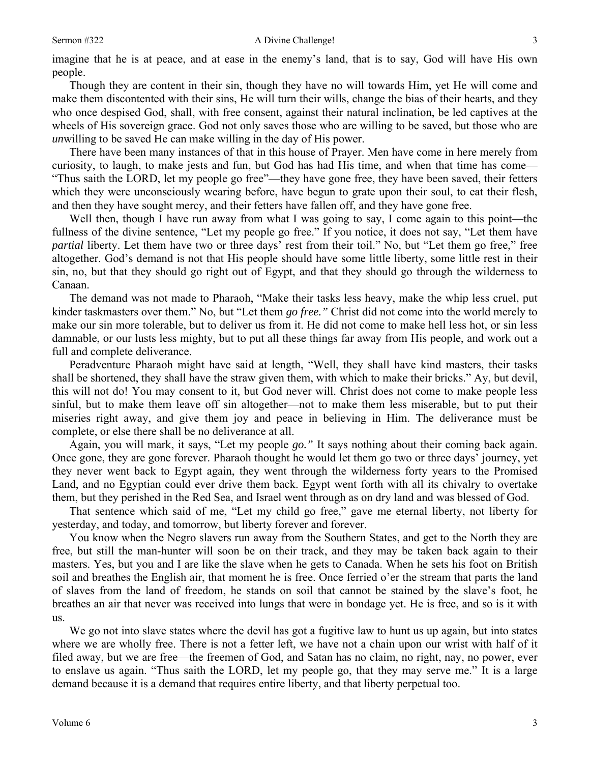Though they are content in their sin, though they have no will towards Him, yet He will come and make them discontented with their sins, He will turn their wills, change the bias of their hearts, and they who once despised God, shall, with free consent, against their natural inclination, be led captives at the wheels of His sovereign grace. God not only saves those who are willing to be saved, but those who are *un*willing to be saved He can make willing in the day of His power.

There have been many instances of that in this house of Prayer. Men have come in here merely from curiosity, to laugh, to make jests and fun, but God has had His time, and when that time has come— "Thus saith the LORD, let my people go free"—they have gone free, they have been saved, their fetters which they were unconsciously wearing before, have begun to grate upon their soul, to eat their flesh, and then they have sought mercy, and their fetters have fallen off, and they have gone free.

Well then, though I have run away from what I was going to say, I come again to this point—the fullness of the divine sentence, "Let my people go free." If you notice, it does not say, "Let them have *partial* liberty. Let them have two or three days' rest from their toil." No, but "Let them go free," free altogether. God's demand is not that His people should have some little liberty, some little rest in their sin, no, but that they should go right out of Egypt, and that they should go through the wilderness to Canaan.

The demand was not made to Pharaoh, "Make their tasks less heavy, make the whip less cruel, put kinder taskmasters over them." No, but "Let them *go free."* Christ did not come into the world merely to make our sin more tolerable, but to deliver us from it. He did not come to make hell less hot, or sin less damnable, or our lusts less mighty, but to put all these things far away from His people, and work out a full and complete deliverance.

Peradventure Pharaoh might have said at length, "Well, they shall have kind masters, their tasks shall be shortened, they shall have the straw given them, with which to make their bricks." Ay, but devil, this will not do! You may consent to it, but God never will. Christ does not come to make people less sinful, but to make them leave off sin altogether—not to make them less miserable, but to put their miseries right away, and give them joy and peace in believing in Him. The deliverance must be complete, or else there shall be no deliverance at all.

Again, you will mark, it says, "Let my people *go."* It says nothing about their coming back again. Once gone, they are gone forever. Pharaoh thought he would let them go two or three days' journey, yet they never went back to Egypt again, they went through the wilderness forty years to the Promised Land, and no Egyptian could ever drive them back. Egypt went forth with all its chivalry to overtake them, but they perished in the Red Sea, and Israel went through as on dry land and was blessed of God.

That sentence which said of me, "Let my child go free," gave me eternal liberty, not liberty for yesterday, and today, and tomorrow, but liberty forever and forever.

You know when the Negro slavers run away from the Southern States, and get to the North they are free, but still the man-hunter will soon be on their track, and they may be taken back again to their masters. Yes, but you and I are like the slave when he gets to Canada. When he sets his foot on British soil and breathes the English air, that moment he is free. Once ferried o'er the stream that parts the land of slaves from the land of freedom, he stands on soil that cannot be stained by the slave's foot, he breathes an air that never was received into lungs that were in bondage yet. He is free, and so is it with us.

We go not into slave states where the devil has got a fugitive law to hunt us up again, but into states where we are wholly free. There is not a fetter left, we have not a chain upon our wrist with half of it filed away, but we are free—the freemen of God, and Satan has no claim, no right, nay, no power, ever to enslave us again. "Thus saith the LORD, let my people go, that they may serve me." It is a large demand because it is a demand that requires entire liberty, and that liberty perpetual too.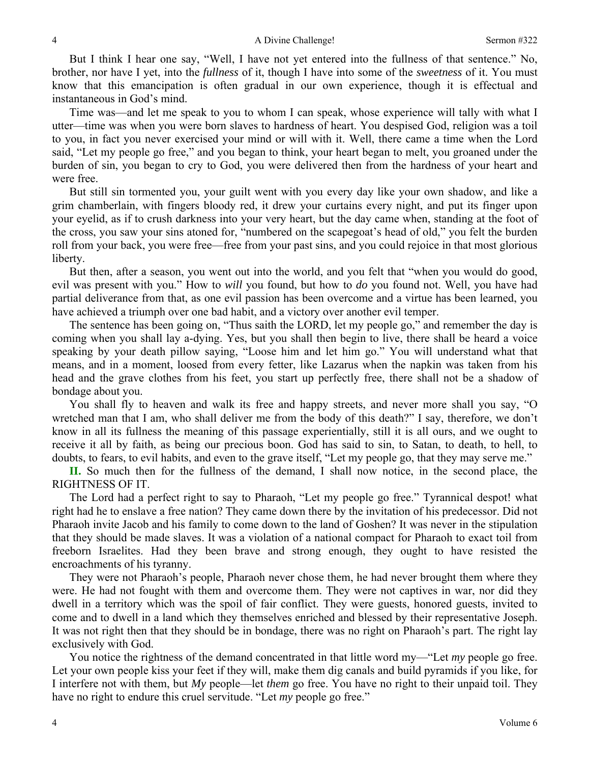But I think I hear one say, "Well, I have not yet entered into the fullness of that sentence." No, brother, nor have I yet, into the *fullness* of it, though I have into some of the *sweetness* of it. You must know that this emancipation is often gradual in our own experience, though it is effectual and instantaneous in God's mind.

Time was—and let me speak to you to whom I can speak, whose experience will tally with what I utter—time was when you were born slaves to hardness of heart. You despised God, religion was a toil to you, in fact you never exercised your mind or will with it. Well, there came a time when the Lord said, "Let my people go free," and you began to think, your heart began to melt, you groaned under the burden of sin, you began to cry to God, you were delivered then from the hardness of your heart and were free.

But still sin tormented you, your guilt went with you every day like your own shadow, and like a grim chamberlain, with fingers bloody red, it drew your curtains every night, and put its finger upon your eyelid, as if to crush darkness into your very heart, but the day came when, standing at the foot of the cross, you saw your sins atoned for, "numbered on the scapegoat's head of old," you felt the burden roll from your back, you were free—free from your past sins, and you could rejoice in that most glorious liberty.

But then, after a season, you went out into the world, and you felt that "when you would do good, evil was present with you." How to *will* you found, but how to *do* you found not. Well, you have had partial deliverance from that, as one evil passion has been overcome and a virtue has been learned, you have achieved a triumph over one bad habit, and a victory over another evil temper.

The sentence has been going on, "Thus saith the LORD, let my people go," and remember the day is coming when you shall lay a-dying. Yes, but you shall then begin to live, there shall be heard a voice speaking by your death pillow saying, "Loose him and let him go." You will understand what that means, and in a moment, loosed from every fetter, like Lazarus when the napkin was taken from his head and the grave clothes from his feet, you start up perfectly free, there shall not be a shadow of bondage about you.

You shall fly to heaven and walk its free and happy streets, and never more shall you say, "O wretched man that I am, who shall deliver me from the body of this death?" I say, therefore, we don't know in all its fullness the meaning of this passage experientially, still it is all ours, and we ought to receive it all by faith, as being our precious boon. God has said to sin, to Satan, to death, to hell, to doubts, to fears, to evil habits, and even to the grave itself, "Let my people go, that they may serve me."

**II.** So much then for the fullness of the demand, I shall now notice, in the second place, the RIGHTNESS OF IT.

The Lord had a perfect right to say to Pharaoh, "Let my people go free." Tyrannical despot! what right had he to enslave a free nation? They came down there by the invitation of his predecessor. Did not Pharaoh invite Jacob and his family to come down to the land of Goshen? It was never in the stipulation that they should be made slaves. It was a violation of a national compact for Pharaoh to exact toil from freeborn Israelites. Had they been brave and strong enough, they ought to have resisted the encroachments of his tyranny.

They were not Pharaoh's people, Pharaoh never chose them, he had never brought them where they were. He had not fought with them and overcome them. They were not captives in war, nor did they dwell in a territory which was the spoil of fair conflict. They were guests, honored guests, invited to come and to dwell in a land which they themselves enriched and blessed by their representative Joseph. It was not right then that they should be in bondage, there was no right on Pharaoh's part. The right lay exclusively with God.

You notice the rightness of the demand concentrated in that little word my—"Let *my* people go free. Let your own people kiss your feet if they will, make them dig canals and build pyramids if you like, for I interfere not with them, but *My* people—let *them* go free. You have no right to their unpaid toil. They have no right to endure this cruel servitude. "Let *my* people go free."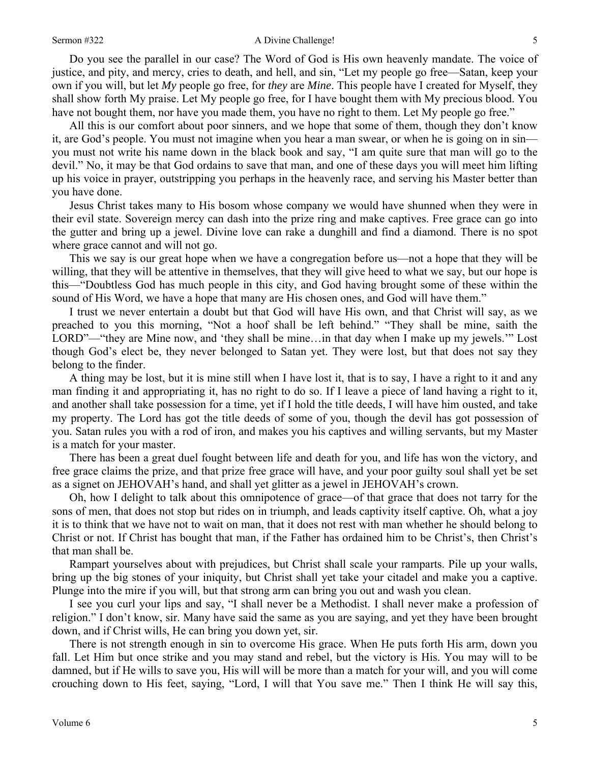Do you see the parallel in our case? The Word of God is His own heavenly mandate. The voice of justice, and pity, and mercy, cries to death, and hell, and sin, "Let my people go free—Satan, keep your own if you will, but let *My* people go free, for *they* are *Mine*. This people have I created for Myself, they shall show forth My praise. Let My people go free, for I have bought them with My precious blood. You have not bought them, nor have you made them, you have no right to them. Let My people go free."

All this is our comfort about poor sinners, and we hope that some of them, though they don't know it, are God's people. You must not imagine when you hear a man swear, or when he is going on in sin you must not write his name down in the black book and say, "I am quite sure that man will go to the devil." No, it may be that God ordains to save that man, and one of these days you will meet him lifting up his voice in prayer, outstripping you perhaps in the heavenly race, and serving his Master better than you have done.

Jesus Christ takes many to His bosom whose company we would have shunned when they were in their evil state. Sovereign mercy can dash into the prize ring and make captives. Free grace can go into the gutter and bring up a jewel. Divine love can rake a dunghill and find a diamond. There is no spot where grace cannot and will not go.

This we say is our great hope when we have a congregation before us—not a hope that they will be willing, that they will be attentive in themselves, that they will give heed to what we say, but our hope is this—"Doubtless God has much people in this city, and God having brought some of these within the sound of His Word, we have a hope that many are His chosen ones, and God will have them."

I trust we never entertain a doubt but that God will have His own, and that Christ will say, as we preached to you this morning, "Not a hoof shall be left behind." "They shall be mine, saith the LORD"—"they are Mine now, and 'they shall be mine…in that day when I make up my jewels.'" Lost though God's elect be, they never belonged to Satan yet. They were lost, but that does not say they belong to the finder.

A thing may be lost, but it is mine still when I have lost it, that is to say, I have a right to it and any man finding it and appropriating it, has no right to do so. If I leave a piece of land having a right to it, and another shall take possession for a time, yet if I hold the title deeds, I will have him ousted, and take my property. The Lord has got the title deeds of some of you, though the devil has got possession of you. Satan rules you with a rod of iron, and makes you his captives and willing servants, but my Master is a match for your master.

There has been a great duel fought between life and death for you, and life has won the victory, and free grace claims the prize, and that prize free grace will have, and your poor guilty soul shall yet be set as a signet on JEHOVAH's hand, and shall yet glitter as a jewel in JEHOVAH's crown.

Oh, how I delight to talk about this omnipotence of grace—of that grace that does not tarry for the sons of men, that does not stop but rides on in triumph, and leads captivity itself captive. Oh, what a joy it is to think that we have not to wait on man, that it does not rest with man whether he should belong to Christ or not. If Christ has bought that man, if the Father has ordained him to be Christ's, then Christ's that man shall be.

Rampart yourselves about with prejudices, but Christ shall scale your ramparts. Pile up your walls, bring up the big stones of your iniquity, but Christ shall yet take your citadel and make you a captive. Plunge into the mire if you will, but that strong arm can bring you out and wash you clean.

I see you curl your lips and say, "I shall never be a Methodist. I shall never make a profession of religion." I don't know, sir. Many have said the same as you are saying, and yet they have been brought down, and if Christ wills, He can bring you down yet, sir.

There is not strength enough in sin to overcome His grace. When He puts forth His arm, down you fall. Let Him but once strike and you may stand and rebel, but the victory is His. You may will to be damned, but if He wills to save you, His will will be more than a match for your will, and you will come crouching down to His feet, saying, "Lord, I will that You save me." Then I think He will say this,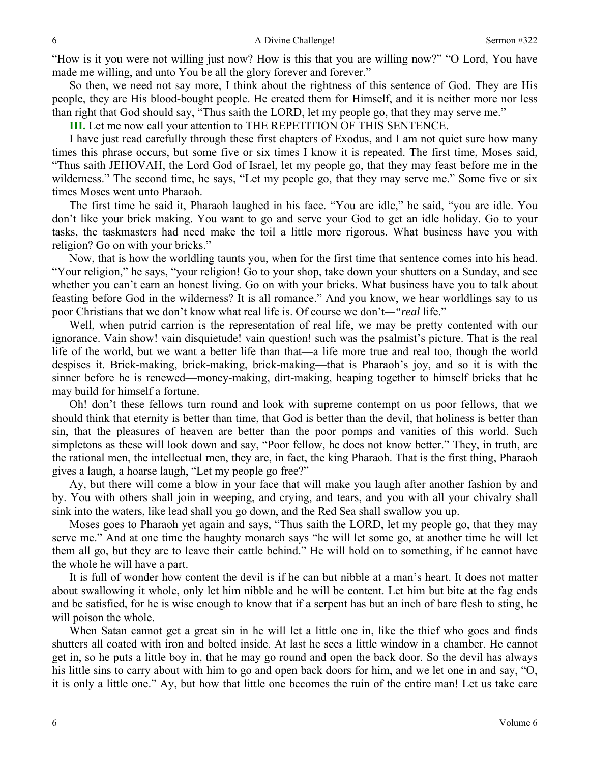"How is it you were not willing just now? How is this that you are willing now?" "O Lord, You have made me willing, and unto You be all the glory forever and forever."

So then, we need not say more, I think about the rightness of this sentence of God. They are His people, they are His blood-bought people. He created them for Himself, and it is neither more nor less than right that God should say, "Thus saith the LORD, let my people go, that they may serve me."

**III.** Let me now call your attention to THE REPETITION OF THIS SENTENCE.

I have just read carefully through these first chapters of Exodus, and I am not quiet sure how many times this phrase occurs, but some five or six times I know it is repeated. The first time, Moses said, "Thus saith JEHOVAH, the Lord God of Israel, let my people go, that they may feast before me in the wilderness." The second time, he says, "Let my people go, that they may serve me." Some five or six times Moses went unto Pharaoh.

The first time he said it, Pharaoh laughed in his face. "You are idle," he said, "you are idle. You don't like your brick making. You want to go and serve your God to get an idle holiday. Go to your tasks, the taskmasters had need make the toil a little more rigorous. What business have you with religion? Go on with your bricks."

Now, that is how the worldling taunts you, when for the first time that sentence comes into his head. "Your religion," he says, "your religion! Go to your shop, take down your shutters on a Sunday, and see whether you can't earn an honest living. Go on with your bricks. What business have you to talk about feasting before God in the wilderness? It is all romance." And you know, we hear worldlings say to us poor Christians that we don't know what real life is. Of course we don't*—"real* life."

Well, when putrid carrion is the representation of real life, we may be pretty contented with our ignorance. Vain show! vain disquietude! vain question! such was the psalmist's picture. That is the real life of the world, but we want a better life than that—a life more true and real too, though the world despises it. Brick-making, brick-making, brick-making—that is Pharaoh's joy, and so it is with the sinner before he is renewed—money-making, dirt-making, heaping together to himself bricks that he may build for himself a fortune.

Oh! don't these fellows turn round and look with supreme contempt on us poor fellows, that we should think that eternity is better than time, that God is better than the devil, that holiness is better than sin, that the pleasures of heaven are better than the poor pomps and vanities of this world. Such simpletons as these will look down and say, "Poor fellow, he does not know better." They, in truth, are the rational men, the intellectual men, they are, in fact, the king Pharaoh. That is the first thing, Pharaoh gives a laugh, a hoarse laugh, "Let my people go free?"

Ay, but there will come a blow in your face that will make you laugh after another fashion by and by. You with others shall join in weeping, and crying, and tears, and you with all your chivalry shall sink into the waters, like lead shall you go down, and the Red Sea shall swallow you up.

Moses goes to Pharaoh yet again and says, "Thus saith the LORD, let my people go, that they may serve me." And at one time the haughty monarch says "he will let some go, at another time he will let them all go, but they are to leave their cattle behind." He will hold on to something, if he cannot have the whole he will have a part.

It is full of wonder how content the devil is if he can but nibble at a man's heart. It does not matter about swallowing it whole, only let him nibble and he will be content. Let him but bite at the fag ends and be satisfied, for he is wise enough to know that if a serpent has but an inch of bare flesh to sting, he will poison the whole.

When Satan cannot get a great sin in he will let a little one in, like the thief who goes and finds shutters all coated with iron and bolted inside. At last he sees a little window in a chamber. He cannot get in, so he puts a little boy in, that he may go round and open the back door. So the devil has always his little sins to carry about with him to go and open back doors for him, and we let one in and say, "O, it is only a little one." Ay, but how that little one becomes the ruin of the entire man! Let us take care

6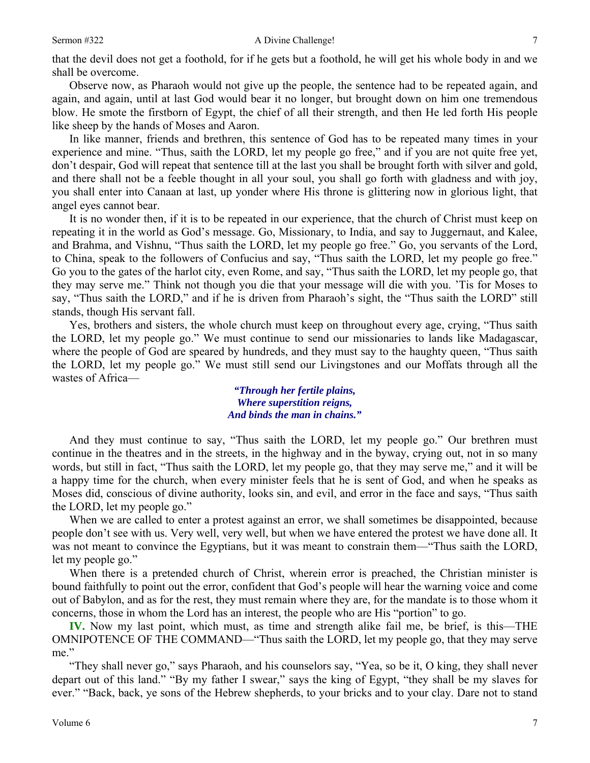## Sermon #322 A Divine Challenge!

that the devil does not get a foothold, for if he gets but a foothold, he will get his whole body in and we shall be overcome.

Observe now, as Pharaoh would not give up the people, the sentence had to be repeated again, and again, and again, until at last God would bear it no longer, but brought down on him one tremendous blow. He smote the firstborn of Egypt, the chief of all their strength, and then He led forth His people like sheep by the hands of Moses and Aaron.

In like manner, friends and brethren, this sentence of God has to be repeated many times in your experience and mine. "Thus, saith the LORD, let my people go free," and if you are not quite free yet, don't despair, God will repeat that sentence till at the last you shall be brought forth with silver and gold, and there shall not be a feeble thought in all your soul, you shall go forth with gladness and with joy, you shall enter into Canaan at last, up yonder where His throne is glittering now in glorious light, that angel eyes cannot bear.

It is no wonder then, if it is to be repeated in our experience, that the church of Christ must keep on repeating it in the world as God's message. Go, Missionary, to India, and say to Juggernaut, and Kalee, and Brahma, and Vishnu, "Thus saith the LORD, let my people go free." Go, you servants of the Lord, to China, speak to the followers of Confucius and say, "Thus saith the LORD, let my people go free." Go you to the gates of the harlot city, even Rome, and say, "Thus saith the LORD, let my people go, that they may serve me." Think not though you die that your message will die with you. 'Tis for Moses to say, "Thus saith the LORD," and if he is driven from Pharaoh's sight, the "Thus saith the LORD" still stands, though His servant fall.

Yes, brothers and sisters, the whole church must keep on throughout every age, crying, "Thus saith the LORD, let my people go." We must continue to send our missionaries to lands like Madagascar, where the people of God are speared by hundreds, and they must say to the haughty queen, "Thus saith the LORD, let my people go." We must still send our Livingstones and our Moffats through all the wastes of Africa—

> *"Through her fertile plains, Where superstition reigns, And binds the man in chains."*

And they must continue to say, "Thus saith the LORD, let my people go." Our brethren must continue in the theatres and in the streets, in the highway and in the byway, crying out, not in so many words, but still in fact, "Thus saith the LORD, let my people go, that they may serve me," and it will be a happy time for the church, when every minister feels that he is sent of God, and when he speaks as Moses did, conscious of divine authority, looks sin, and evil, and error in the face and says, "Thus saith the LORD, let my people go."

When we are called to enter a protest against an error, we shall sometimes be disappointed, because people don't see with us. Very well, very well, but when we have entered the protest we have done all. It was not meant to convince the Egyptians, but it was meant to constrain them—"Thus saith the LORD, let my people go."

When there is a pretended church of Christ, wherein error is preached, the Christian minister is bound faithfully to point out the error, confident that God's people will hear the warning voice and come out of Babylon, and as for the rest, they must remain where they are, for the mandate is to those whom it concerns, those in whom the Lord has an interest, the people who are His "portion" to go.

**IV.** Now my last point, which must, as time and strength alike fail me, be brief, is this—THE OMNIPOTENCE OF THE COMMAND—"Thus saith the LORD, let my people go, that they may serve me."

"They shall never go," says Pharaoh, and his counselors say, "Yea, so be it, O king, they shall never depart out of this land." "By my father I swear," says the king of Egypt, "they shall be my slaves for ever." "Back, back, ye sons of the Hebrew shepherds, to your bricks and to your clay. Dare not to stand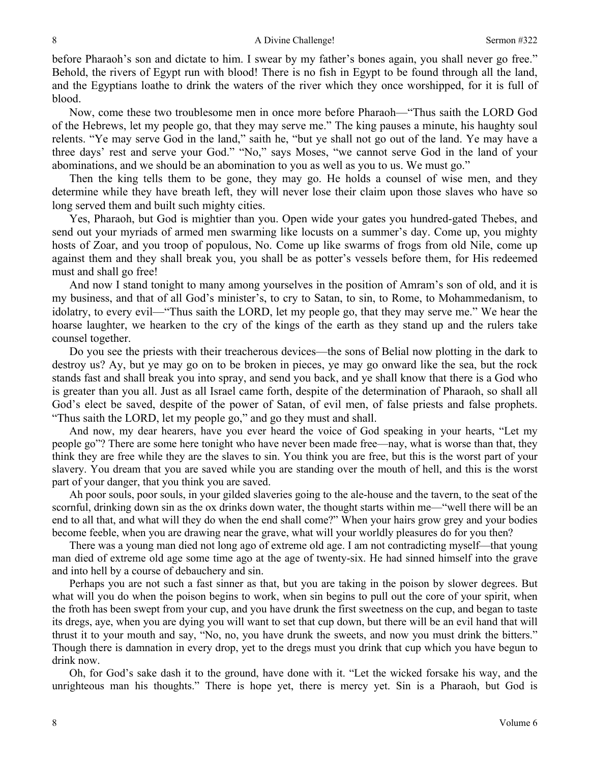before Pharaoh's son and dictate to him. I swear by my father's bones again, you shall never go free." Behold, the rivers of Egypt run with blood! There is no fish in Egypt to be found through all the land, and the Egyptians loathe to drink the waters of the river which they once worshipped, for it is full of blood.

Now, come these two troublesome men in once more before Pharaoh—"Thus saith the LORD God of the Hebrews, let my people go, that they may serve me." The king pauses a minute, his haughty soul relents. "Ye may serve God in the land," saith he, "but ye shall not go out of the land. Ye may have a three days' rest and serve your God." "No," says Moses, "we cannot serve God in the land of your abominations, and we should be an abomination to you as well as you to us. We must go."

Then the king tells them to be gone, they may go. He holds a counsel of wise men, and they determine while they have breath left, they will never lose their claim upon those slaves who have so long served them and built such mighty cities.

Yes, Pharaoh, but God is mightier than you. Open wide your gates you hundred-gated Thebes, and send out your myriads of armed men swarming like locusts on a summer's day. Come up, you mighty hosts of Zoar, and you troop of populous, No. Come up like swarms of frogs from old Nile, come up against them and they shall break you, you shall be as potter's vessels before them, for His redeemed must and shall go free!

And now I stand tonight to many among yourselves in the position of Amram's son of old, and it is my business, and that of all God's minister's, to cry to Satan, to sin, to Rome, to Mohammedanism, to idolatry, to every evil—"Thus saith the LORD, let my people go, that they may serve me." We hear the hoarse laughter, we hearken to the cry of the kings of the earth as they stand up and the rulers take counsel together.

Do you see the priests with their treacherous devices—the sons of Belial now plotting in the dark to destroy us? Ay, but ye may go on to be broken in pieces, ye may go onward like the sea, but the rock stands fast and shall break you into spray, and send you back, and ye shall know that there is a God who is greater than you all. Just as all Israel came forth, despite of the determination of Pharaoh, so shall all God's elect be saved, despite of the power of Satan, of evil men, of false priests and false prophets. "Thus saith the LORD, let my people go," and go they must and shall.

And now, my dear hearers, have you ever heard the voice of God speaking in your hearts, "Let my people go"? There are some here tonight who have never been made free—nay, what is worse than that, they think they are free while they are the slaves to sin. You think you are free, but this is the worst part of your slavery. You dream that you are saved while you are standing over the mouth of hell, and this is the worst part of your danger, that you think you are saved.

Ah poor souls, poor souls, in your gilded slaveries going to the ale-house and the tavern, to the seat of the scornful, drinking down sin as the ox drinks down water, the thought starts within me—"well there will be an end to all that, and what will they do when the end shall come?" When your hairs grow grey and your bodies become feeble, when you are drawing near the grave, what will your worldly pleasures do for you then?

There was a young man died not long ago of extreme old age. I am not contradicting myself—that young man died of extreme old age some time ago at the age of twenty-six. He had sinned himself into the grave and into hell by a course of debauchery and sin.

Perhaps you are not such a fast sinner as that, but you are taking in the poison by slower degrees. But what will you do when the poison begins to work, when sin begins to pull out the core of your spirit, when the froth has been swept from your cup, and you have drunk the first sweetness on the cup, and began to taste its dregs, aye, when you are dying you will want to set that cup down, but there will be an evil hand that will thrust it to your mouth and say, "No, no, you have drunk the sweets, and now you must drink the bitters." Though there is damnation in every drop, yet to the dregs must you drink that cup which you have begun to drink now.

Oh, for God's sake dash it to the ground, have done with it. "Let the wicked forsake his way, and the unrighteous man his thoughts." There is hope yet, there is mercy yet. Sin is a Pharaoh, but God is

8